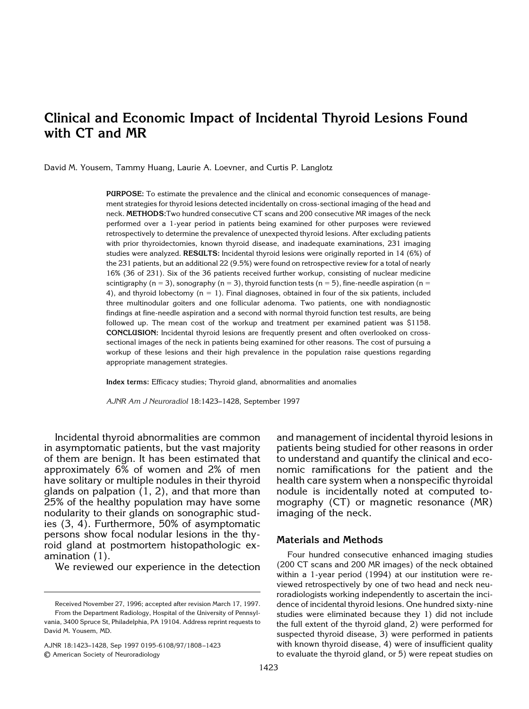# **Clinical and Economic Impact of Incidental Thyroid Lesions Found with CT and MR**

David M. Yousem, Tammy Huang, Laurie A. Loevner, and Curtis P. Langlotz

**PURPOSE:** To estimate the prevalence and the clinical and economic consequences of management strategies for thyroid lesions detected incidentally on cross-sectional imaging of the head and neck. **METHODS:**Two hundred consecutive CT scans and 200 consecutive MR images of the neck performed over a 1-year period in patients being examined for other purposes were reviewed retrospectively to determine the prevalence of unexpected thyroid lesions. After excluding patients with prior thyroidectomies, known thyroid disease, and inadequate examinations, 231 imaging studies were analyzed. **RESULTS:** Incidental thyroid lesions were originally reported in 14 (6%) of the 231 patients, but an additional 22 (9.5%) were found on retrospective review for a total of nearly 16% (36 of 231). Six of the 36 patients received further workup, consisting of nuclear medicine scintigraphy (n = 3), sonography (n = 3), thyroid function tests (n = 5), fine-needle aspiration (n = 4), and thyroid lobectomy  $(n = 1)$ . Final diagnoses, obtained in four of the six patients, included three multinodular goiters and one follicular adenoma. Two patients, one with nondiagnostic findings at fine-needle aspiration and a second with normal thyroid function test results, are being followed up. The mean cost of the workup and treatment per examined patient was \$1158. **CONCLUSION:** Incidental thyroid lesions are frequently present and often overlooked on crosssectional images of the neck in patients being examined for other reasons. The cost of pursuing a workup of these lesions and their high prevalence in the population raise questions regarding appropriate management strategies.

**Index terms:** Efficacy studies; Thyroid gland, abnormalities and anomalies

*AJNR Am J Neuroradiol* 18:1423–1428, September 1997

Incidental thyroid abnormalities are common in asymptomatic patients, but the vast majority of them are benign. It has been estimated that approximately 6% of women and 2% of men have solitary or multiple nodules in their thyroid glands on palpation (1, 2), and that more than 25% of the healthy population may have some nodularity to their glands on sonographic studies (3, 4). Furthermore, 50% of asymptomatic persons show focal nodular lesions in the thyroid gland at postmortem histopathologic examination (1).

We reviewed our experience in the detection

AJNR 18:1423–1428, Sep 1997 0195-6108/97/1808–1423 © American Society of Neuroradiology

and management of incidental thyroid lesions in patients being studied for other reasons in order to understand and quantify the clinical and economic ramifications for the patient and the health care system when a nonspecific thyroidal nodule is incidentally noted at computed tomography (CT) or magnetic resonance (MR) imaging of the neck.

## **Materials and Methods**

Four hundred consecutive enhanced imaging studies (200 CT scans and 200 MR images) of the neck obtained within a 1-year period (1994) at our institution were reviewed retrospectively by one of two head and neck neuroradiologists working independently to ascertain the incidence of incidental thyroid lesions. One hundred sixty-nine studies were eliminated because they 1) did not include the full extent of the thyroid gland, 2) were performed for suspected thyroid disease, 3) were performed in patients with known thyroid disease, 4) were of insufficient quality to evaluate the thyroid gland, or 5) were repeat studies on

Received November 27, 1996; accepted after revision March 17, 1997. From the Department Radiology, Hospital of the University of Pennsylvania, 3400 Spruce St, Philadelphia, PA 19104. Address reprint requests to David M. Yousem, MD.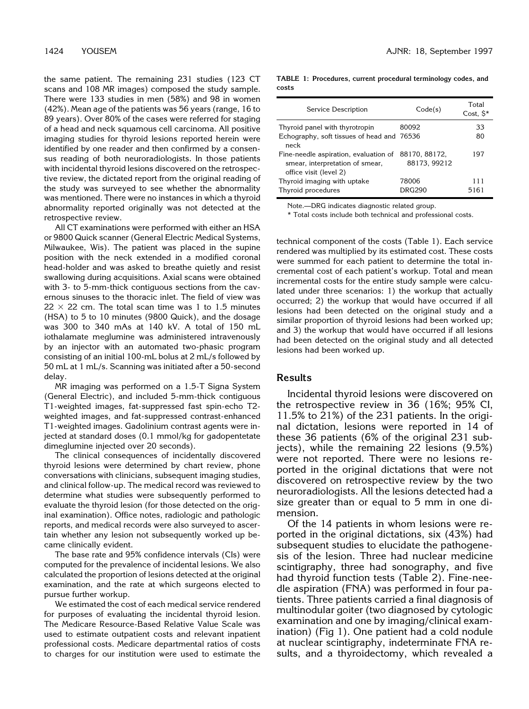the same patient. The remaining 231 studies (123 CT scans and 108 MR images) composed the study sample. There were 133 studies in men (58%) and 98 in women (42%). Mean age of the patients was 56 years (range, 16 to 89 years). Over 80% of the cases were referred for staging of a head and neck squamous cell carcinoma. All positive imaging studies for thyroid lesions reported herein were identified by one reader and then confirmed by a consensus reading of both neuroradiologists. In those patients with incidental thyroid lesions discovered on the retrospective review, the dictated report from the original reading of the study was surveyed to see whether the abnormality was mentioned. There were no instances in which a thyroid abnormality reported originally was not detected at the retrospective review.

All CT examinations were performed with either an HSA or 9800 Quick scanner (General Electric Medical Systems, Milwaukee, Wis). The patient was placed in the supine position with the neck extended in a modified coronal head-holder and was asked to breathe quietly and resist swallowing during acquisitions. Axial scans were obtained with 3- to 5-mm-thick contiguous sections from the cavernous sinuses to the thoracic inlet. The field of view was  $22 \times 22$  cm. The total scan time was 1 to 1.5 minutes (HSA) to 5 to 10 minutes (9800 Quick), and the dosage was 300 to 340 mAs at 140 kV. A total of 150 mL iothalamate meglumine was administered intravenously by an injector with an automated two-phasic program consisting of an initial 100-mL bolus at 2 mL/s followed by 50 mL at 1 mL/s. Scanning was initiated after a 50-second delay.

MR imaging was performed on a 1.5-T Signa System (General Electric), and included 5-mm-thick contiguous T1-weighted images, fat-suppressed fast spin-echo T2 weighted images, and fat-suppressed contrast-enhanced T1-weighted images. Gadolinium contrast agents were injected at standard doses (0.1 mmol/kg for gadopentetate dimeglumine injected over 20 seconds).

The clinical consequences of incidentally discovered thyroid lesions were determined by chart review, phone conversations with clinicians, subsequent imaging studies, and clinical follow-up. The medical record was reviewed to determine what studies were subsequently performed to evaluate the thyroid lesion (for those detected on the original examination). Office notes, radiologic and pathologic reports, and medical records were also surveyed to ascertain whether any lesion not subsequently worked up became clinically evident.

The base rate and 95% confidence intervals (CIs) were computed for the prevalence of incidental lesions. We also calculated the proportion of lesions detected at the original examination, and the rate at which surgeons elected to pursue further workup.

We estimated the cost of each medical service rendered for purposes of evaluating the incidental thyroid lesion. The Medicare Resource-Based Relative Value Scale was used to estimate outpatient costs and relevant inpatient professional costs. Medicare departmental ratios of costs to charges for our institution were used to estimate the

**TABLE 1: Procedures, current procedural terminology codes, and costs**

| Service Description                                                                                | Code(s)                       | Total<br>Cost, $\mathsf{S}^*$ |
|----------------------------------------------------------------------------------------------------|-------------------------------|-------------------------------|
| Thyroid panel with thyrotropin                                                                     | 80092                         | 33                            |
| Echography, soft tissues of head and 76536<br>neck                                                 |                               | 80                            |
| Fine-needle aspiration, evaluation of<br>smear, interpretation of smear,<br>office visit (level 2) | 88170, 88172,<br>88173, 99212 | 197                           |
| Thyroid imaging with uptake<br>Thyroid procedures                                                  | 78006<br><b>DRG290</b>        | 111<br>5161                   |

Note.—DRG indicates diagnostic related group.

\* Total costs include both technical and professional costs.

technical component of the costs (Table 1). Each service rendered was multiplied by its estimated cost. These costs were summed for each patient to determine the total incremental cost of each patient's workup. Total and mean incremental costs for the entire study sample were calculated under three scenarios: 1) the workup that actually occurred; 2) the workup that would have occurred if all lesions had been detected on the original study and a similar proportion of thyroid lesions had been worked up; and 3) the workup that would have occurred if all lesions had been detected on the original study and all detected lesions had been worked up.

#### **Results**

Incidental thyroid lesions were discovered on the retrospective review in 36 (16%; 95% CI, 11.5% to 21%) of the 231 patients. In the original dictation, lesions were reported in 14 of these 36 patients (6% of the original 231 subjects), while the remaining 22 lesions (9.5%) were not reported. There were no lesions reported in the original dictations that were not discovered on retrospective review by the two neuroradiologists. All the lesions detected had a size greater than or equal to 5 mm in one dimension.

Of the 14 patients in whom lesions were reported in the original dictations, six (43%) had subsequent studies to elucidate the pathogenesis of the lesion. Three had nuclear medicine scintigraphy, three had sonography, and five had thyroid function tests (Table 2). Fine-needle aspiration (FNA) was performed in four patients. Three patients carried a final diagnosis of multinodular goiter (two diagnosed by cytologic examination and one by imaging/clinical examination) (Fig 1). One patient had a cold nodule at nuclear scintigraphy, indeterminate FNA results, and a thyroidectomy, which revealed a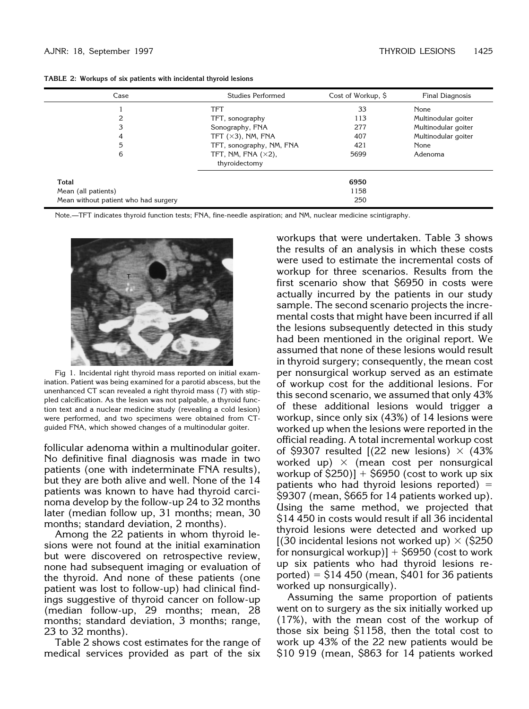| Case                                 | Studies Performed                            | Cost of Workup, \$ | <b>Final Diagnosis</b> |
|--------------------------------------|----------------------------------------------|--------------------|------------------------|
|                                      | TFT                                          | 33                 | None                   |
| 2                                    | TFT, sonography                              | 113                | Multinodular goiter    |
| 3                                    | Sonography, FNA                              | 277                | Multinodular goiter    |
| 4                                    | TFT $(\times 3)$ , NM, FNA                   | 407                | Multinodular goiter    |
| 5                                    | TFT, sonography, NM, FNA                     | 421                | None                   |
| 6                                    | TFT, NM, FNA $(\times 2)$ ,<br>thyroidectomy | 5699               | Adenoma                |
| Total                                |                                              | 6950               |                        |
| Mean (all patients)                  |                                              | 1158               |                        |
| Mean without patient who had surgery |                                              | 250                |                        |

**TABLE 2: Workups of six patients with incidental thyroid lesions**

Note.—TFT indicates thyroid function tests; FNA, fine-needle aspiration; and NM, nuclear medicine scintigraphy.



Fig 1. Incidental right thyroid mass reported on initial examination. Patient was being examined for a parotid abscess, but the unenhanced CT scan revealed a right thyroid mass (*T*) with stippled calcification. As the lesion was not palpable, a thyroid function text and a nuclear medicine study (revealing a cold lesion) were performed, and two specimens were obtained from CTguided FNA, which showed changes of a multinodular goiter.

follicular adenoma within a multinodular goiter. No definitive final diagnosis was made in two patients (one with indeterminate FNA results), but they are both alive and well. None of the 14 patients was known to have had thyroid carcinoma develop by the follow-up 24 to 32 months later (median follow up, 31 months; mean, 30 months; standard deviation, 2 months).

Among the 22 patients in whom thyroid lesions were not found at the initial examination but were discovered on retrospective review, none had subsequent imaging or evaluation of the thyroid. And none of these patients (one patient was lost to follow-up) had clinical findings suggestive of thyroid cancer on follow-up (median follow-up, 29 months; mean, 28 months; standard deviation, 3 months; range, 23 to 32 months).

Table 2 shows cost estimates for the range of medical services provided as part of the six

workups that were undertaken. Table 3 shows the results of an analysis in which these costs were used to estimate the incremental costs of workup for three scenarios. Results from the first scenario show that \$6950 in costs were actually incurred by the patients in our study sample. The second scenario projects the incremental costs that might have been incurred if all the lesions subsequently detected in this study had been mentioned in the original report. We assumed that none of these lesions would result in thyroid surgery; consequently, the mean cost per nonsurgical workup served as an estimate of workup cost for the additional lesions. For this second scenario, we assumed that only 43% of these additional lesions would trigger a workup, since only six (43%) of 14 lesions were worked up when the lesions were reported in the official reading. A total incremental workup cost of \$9307 resulted  $(22$  new lesions)  $\times$  (43% worked up)  $\times$  (mean cost per nonsurgical workup of  $$250$ ] +  $$6950$  (cost to work up six patients who had thyroid lesions reported)  $=$ \$9307 (mean, \$665 for 14 patients worked up). Using the same method, we projected that \$14 450 in costs would result if all 36 incidental thyroid lesions were detected and worked up  $(30 \text{ incidental lesions not worked up}) \times (5250 \text{$ for nonsurgical workup)]  $+$  \$6950 (cost to work up six patients who had thyroid lesions reported)  $=$  \$14 450 (mean, \$401 for 36 patients worked up nonsurgically).

Assuming the same proportion of patients went on to surgery as the six initially worked up (17%), with the mean cost of the workup of those six being \$1158, then the total cost to work up 43% of the 22 new patients would be \$10 919 (mean, \$863 for 14 patients worked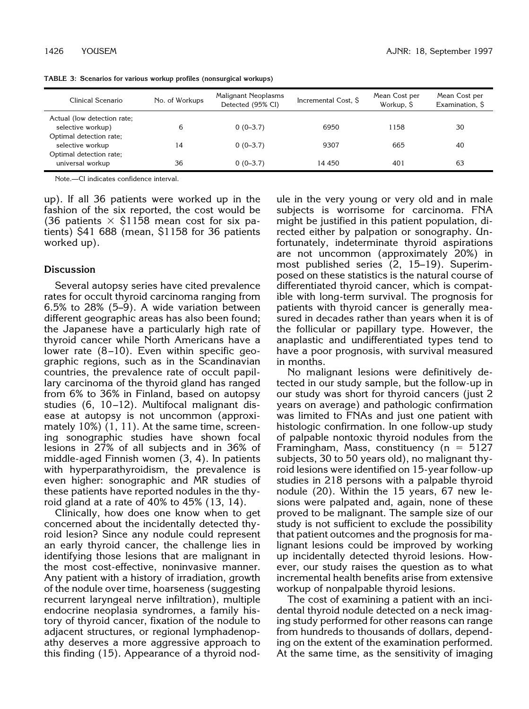| Clinical Scenario                                                      | No. of Workups | Malignant Neoplasms<br>Detected (95% CI) | Incremental Cost, \$ | Mean Cost per<br>Workup, \$ | Mean Cost per<br>Examination, \$ |
|------------------------------------------------------------------------|----------------|------------------------------------------|----------------------|-----------------------------|----------------------------------|
| Actual (low detection rate;<br>selective workup)                       | 6              | $0(0-3.7)$                               | 6950                 | 1158                        | 30                               |
| Optimal detection rate;<br>selective workup<br>Optimal detection rate; | 14             | $0(0-3.7)$                               | 9307                 | 665                         | 40                               |
| universal workup                                                       | 36             | $0(0-3.7)$                               | 14 450               | 401                         | 63                               |

**TABLE 3: Scenarios for various workup profiles (nonsurgical workups)**

Note.—CI indicates confidence interval.

up). If all 36 patients were worked up in the fashion of the six reported, the cost would be (36 patients  $\times$  \$1158 mean cost for six patients) \$41 688 (mean, \$1158 for 36 patients worked up).

#### **Discussion**

Several autopsy series have cited prevalence rates for occult thyroid carcinoma ranging from 6.5% to 28% (5–9). A wide variation between different geographic areas has also been found; the Japanese have a particularly high rate of thyroid cancer while North Americans have a lower rate (8–10). Even within specific geographic regions, such as in the Scandinavian countries, the prevalence rate of occult papillary carcinoma of the thyroid gland has ranged from 6% to 36% in Finland, based on autopsy studies (6, 10–12). Multifocal malignant disease at autopsy is not uncommon (approximately 10%) (1, 11). At the same time, screening sonographic studies have shown focal lesions in 27% of all subjects and in 36% of middle-aged Finnish women (3, 4). In patients with hyperparathyroidism, the prevalence is even higher: sonographic and MR studies of these patients have reported nodules in the thyroid gland at a rate of 40% to 45% (13, 14).

Clinically, how does one know when to get concerned about the incidentally detected thyroid lesion? Since any nodule could represent an early thyroid cancer, the challenge lies in identifying those lesions that are malignant in the most cost-effective, noninvasive manner. Any patient with a history of irradiation, growth of the nodule over time, hoarseness (suggesting recurrent laryngeal nerve infiltration), multiple endocrine neoplasia syndromes, a family history of thyroid cancer, fixation of the nodule to adjacent structures, or regional lymphadenopathy deserves a more aggressive approach to this finding (15). Appearance of a thyroid nodule in the very young or very old and in male subjects is worrisome for carcinoma. FNA might be justified in this patient population, directed either by palpation or sonography. Unfortunately, indeterminate thyroid aspirations are not uncommon (approximately 20%) in most published series (2, 15–19). Superimposed on these statistics is the natural course of differentiated thyroid cancer, which is compatible with long-term survival. The prognosis for patients with thyroid cancer is generally measured in decades rather than years when it is of the follicular or papillary type. However, the anaplastic and undifferentiated types tend to have a poor prognosis, with survival measured in months.

No malignant lesions were definitively detected in our study sample, but the follow-up in our study was short for thyroid cancers (just 2 years on average) and pathologic confirmation was limited to FNAs and just one patient with histologic confirmation. In one follow-up study of palpable nontoxic thyroid nodules from the Framingham, Mass, constituency ( $n = 5127$ subjects, 30 to 50 years old), no malignant thyroid lesions were identified on 15-year follow-up studies in 218 persons with a palpable thyroid nodule (20). Within the 15 years, 67 new lesions were palpated and, again, none of these proved to be malignant. The sample size of our study is not sufficient to exclude the possibility that patient outcomes and the prognosis for malignant lesions could be improved by working up incidentally detected thyroid lesions. However, our study raises the question as to what incremental health benefits arise from extensive workup of nonpalpable thyroid lesions.

The cost of examining a patient with an incidental thyroid nodule detected on a neck imaging study performed for other reasons can range from hundreds to thousands of dollars, depending on the extent of the examination performed. At the same time, as the sensitivity of imaging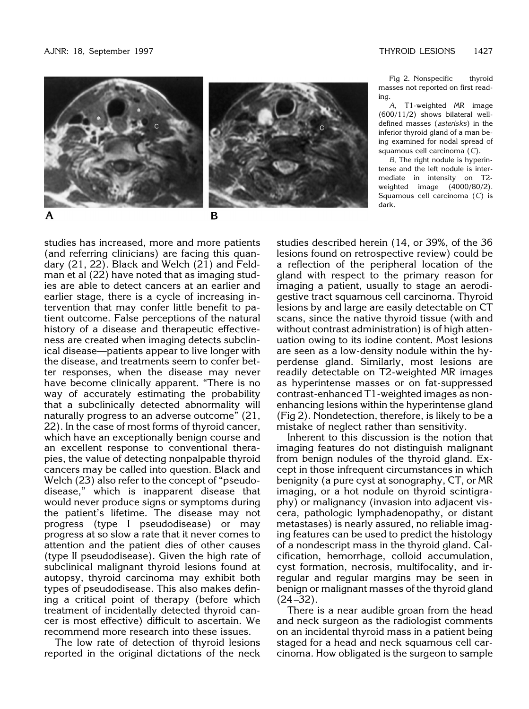Fig 2. Nonspecific thyroid



masses not reported on first reading. *A*, T1-weighted MR image

(600/11/2) shows bilateral welldefined masses (*asterisks*) in the inferior thyroid gland of a man being examined for nodal spread of squamous cell carcinoma (*C*).

*B*, The right nodule is hyperintense and the left nodule is intermediate in intensity on T2 weighted image (4000/80/2). Squamous cell carcinoma (*C*) is dark.

studies has increased, more and more patients (and referring clinicians) are facing this quandary (21, 22). Black and Welch (21) and Feldman et al (22) have noted that as imaging studies are able to detect cancers at an earlier and earlier stage, there is a cycle of increasing intervention that may confer little benefit to patient outcome. False perceptions of the natural history of a disease and therapeutic effectiveness are created when imaging detects subclinical disease—patients appear to live longer with the disease, and treatments seem to confer better responses, when the disease may never have become clinically apparent. "There is no way of accurately estimating the probability that a subclinically detected abnormality will naturally progress to an adverse outcome" (21, 22). In the case of most forms of thyroid cancer, which have an exceptionally benign course and an excellent response to conventional therapies, the value of detecting nonpalpable thyroid cancers may be called into question. Black and Welch (23) also refer to the concept of "pseudodisease," which is inapparent disease that would never produce signs or symptoms during the patient's lifetime. The disease may not progress (type I pseudodisease) or may progress at so slow a rate that it never comes to attention and the patient dies of other causes (type II pseudodisease). Given the high rate of subclinical malignant thyroid lesions found at autopsy, thyroid carcinoma may exhibit both types of pseudodisease. This also makes defining a critical point of therapy (before which treatment of incidentally detected thyroid cancer is most effective) difficult to ascertain. We recommend more research into these issues.

The low rate of detection of thyroid lesions reported in the original dictations of the neck

studies described herein (14, or 39%, of the 36 lesions found on retrospective review) could be a reflection of the peripheral location of the gland with respect to the primary reason for imaging a patient, usually to stage an aerodigestive tract squamous cell carcinoma. Thyroid lesions by and large are easily detectable on CT scans, since the native thyroid tissue (with and without contrast administration) is of high attenuation owing to its iodine content. Most lesions are seen as a low-density nodule within the hyperdense gland. Similarly, most lesions are readily detectable on T2-weighted MR images as hyperintense masses or on fat-suppressed contrast-enhanced T1-weighted images as nonenhancing lesions within the hyperintense gland (Fig 2). Nondetection, therefore, is likely to be a mistake of neglect rather than sensitivity.

Inherent to this discussion is the notion that imaging features do not distinguish malignant from benign nodules of the thyroid gland. Except in those infrequent circumstances in which benignity (a pure cyst at sonography, CT, or MR imaging, or a hot nodule on thyroid scintigraphy) or malignancy (invasion into adjacent viscera, pathologic lymphadenopathy, or distant metastases) is nearly assured, no reliable imaging features can be used to predict the histology of a nondescript mass in the thyroid gland. Calcification, hemorrhage, colloid accumulation, cyst formation, necrosis, multifocality, and irregular and regular margins may be seen in benign or malignant masses of the thyroid gland (24–32).

There is a near audible groan from the head and neck surgeon as the radiologist comments on an incidental thyroid mass in a patient being staged for a head and neck squamous cell carcinoma. How obligated is the surgeon to sample